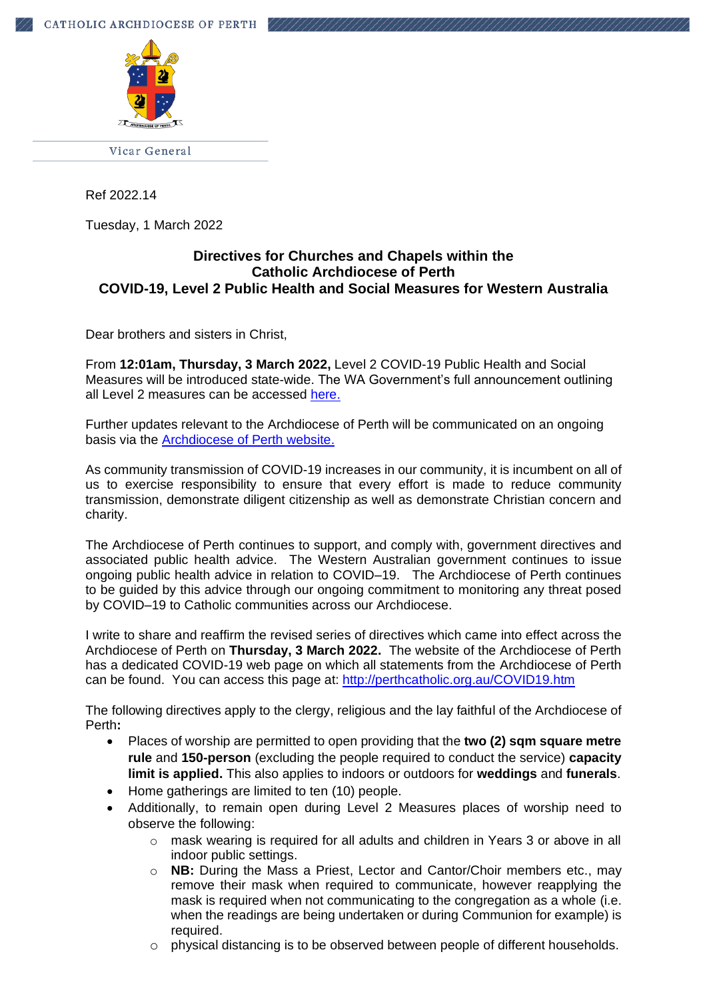

Ref 2022.14

Tuesday, 1 March 2022

# **Directives for Churches and Chapels within the Catholic Archdiocese of Perth COVID-19, Level 2 Public Health and Social Measures for Western Australia**

Dear brothers and sisters in Christ,

From **12:01am, Thursday, 3 March 2022,** Level 2 COVID-19 Public Health and Social Measures will be introduced state-wide. The WA Government's full announcement outlining all Level 2 measures can be accessed [here.](https://www.wa.gov.au/government/announcements/level-2-public-health-measures-introduced-state-wide-thursday-3-march)

Further updates relevant to the Archdiocese of Perth will be communicated on an ongoing basis via the [Archdiocese of Perth website.](https://www.perthcatholic.org.au/COVID19.htm)

As community transmission of COVID-19 increases in our community, it is incumbent on all of us to exercise responsibility to ensure that every effort is made to reduce community transmission, demonstrate diligent citizenship as well as demonstrate Christian concern and charity.

The Archdiocese of Perth continues to support, and comply with, government directives and associated public health advice. The Western Australian government continues to issue ongoing public health advice in relation to COVID–19. The Archdiocese of Perth continues to be guided by this advice through our ongoing commitment to monitoring any threat posed by COVID–19 to Catholic communities across our Archdiocese.

I write to share and reaffirm the revised series of directives which came into effect across the Archdiocese of Perth on **Thursday, 3 March 2022.** The website of the Archdiocese of Perth has a dedicated COVID-19 web page on which all statements from the Archdiocese of Perth can be found. You can access this page at:<http://perthcatholic.org.au/COVID19.htm>

The following directives apply to the clergy, religious and the lay faithful of the Archdiocese of Perth**:**

- Places of worship are permitted to open providing that the **two (2) sqm square metre rule** and **150-person** (excluding the people required to conduct the service) **capacity limit is applied.** This also applies to indoors or outdoors for **weddings** and **funerals**.
- Home gatherings are limited to ten (10) people.
- Additionally, to remain open during Level 2 Measures places of worship need to observe the following:
	- $\circ$  mask wearing is required for all adults and children in Years 3 or above in all indoor public settings.
	- o **NB:** During the Mass a Priest, Lector and Cantor/Choir members etc., may remove their mask when required to communicate, however reapplying the mask is required when not communicating to the congregation as a whole (i.e. when the readings are being undertaken or during Communion for example) is required.
	- $\circ$  physical distancing is to be observed between people of different households.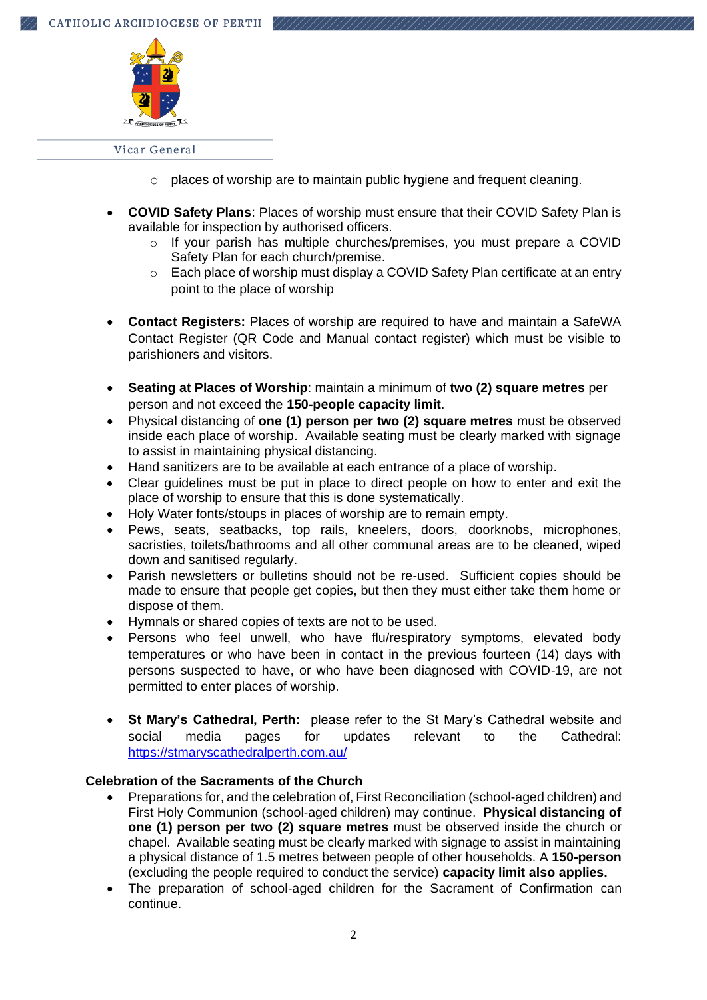

- o places of worship are to maintain public hygiene and frequent cleaning.
- **COVID Safety Plans**: Places of worship must ensure that their COVID Safety Plan is available for inspection by authorised officers.
	- o If your parish has multiple churches/premises, you must prepare a COVID Safety Plan for each church/premise.
	- o Each place of worship must display a COVID Safety Plan certificate at an entry point to the place of worship
- **Contact Registers:** Places of worship are required to have and maintain a SafeWA Contact Register (QR Code and Manual contact register) which must be visible to parishioners and visitors.
- **Seating at Places of Worship**: maintain a minimum of **two (2) square metres** per person and not exceed the **150-people capacity limit**.
- Physical distancing of **one (1) person per two (2) square metres** must be observed inside each place of worship. Available seating must be clearly marked with signage to assist in maintaining physical distancing.
- Hand sanitizers are to be available at each entrance of a place of worship.
- Clear guidelines must be put in place to direct people on how to enter and exit the place of worship to ensure that this is done systematically.
- Holy Water fonts/stoups in places of worship are to remain empty.
- Pews, seats, seatbacks, top rails, kneelers, doors, doorknobs, microphones, sacristies, toilets/bathrooms and all other communal areas are to be cleaned, wiped down and sanitised regularly.
- Parish newsletters or bulletins should not be re-used. Sufficient copies should be made to ensure that people get copies, but then they must either take them home or dispose of them.
- Hymnals or shared copies of texts are not to be used.
- Persons who feel unwell, who have flu/respiratory symptoms, elevated body temperatures or who have been in contact in the previous fourteen (14) days with persons suspected to have, or who have been diagnosed with COVID-19, are not permitted to enter places of worship.
- **St Mary's Cathedral, Perth:** please refer to the St Mary's Cathedral website and social media pages for updates relevant to the Cathedral: <https://stmaryscathedralperth.com.au/>

# **Celebration of the Sacraments of the Church**

- Preparations for, and the celebration of, First Reconciliation (school-aged children) and First Holy Communion (school-aged children) may continue. **Physical distancing of one (1) person per two (2) square metres** must be observed inside the church or chapel. Available seating must be clearly marked with signage to assist in maintaining a physical distance of 1.5 metres between people of other households. A **150-person** (excluding the people required to conduct the service) **capacity limit also applies.**
- The preparation of school-aged children for the Sacrament of Confirmation can continue.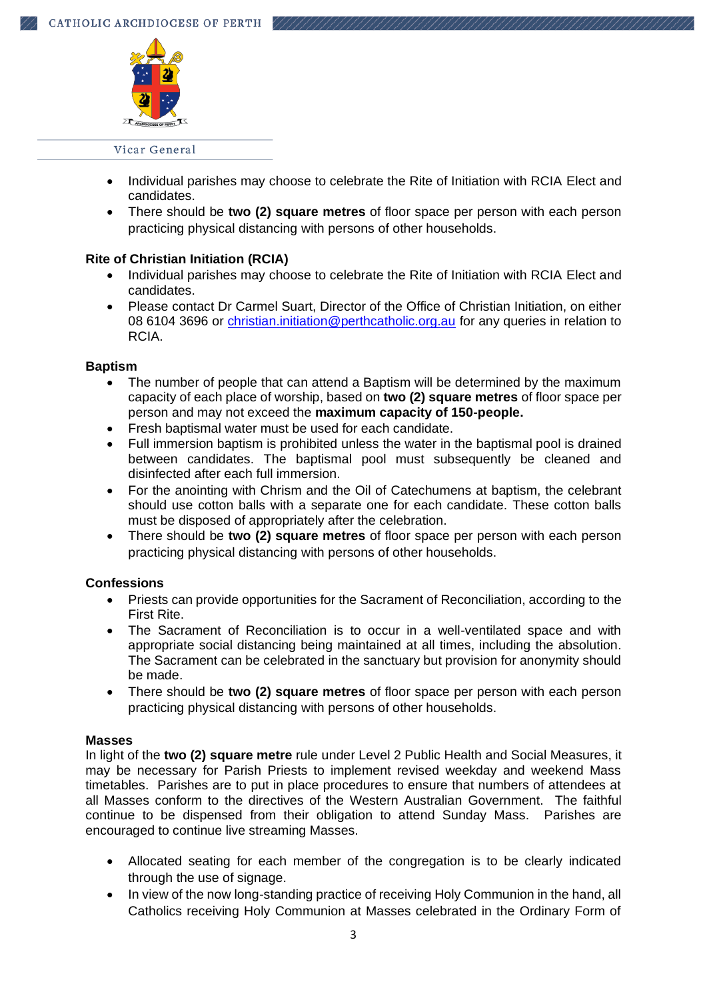

- Individual parishes may choose to celebrate the Rite of Initiation with RCIA Elect and candidates.
- There should be **two (2) square metres** of floor space per person with each person practicing physical distancing with persons of other households.

# **Rite of Christian Initiation (RCIA)**

- Individual parishes may choose to celebrate the Rite of Initiation with RCIA Elect and candidates.
- Please contact Dr Carmel Suart, Director of the Office of Christian Initiation, on either 08 6104 3696 or [christian.initiation@perthcatholic.org.au](mailto:christian.initiation@perthcatholic.org.au) for any queries in relation to RCIA.

### **Baptism**

- The number of people that can attend a Baptism will be determined by the maximum capacity of each place of worship, based on **two (2) square metres** of floor space per person and may not exceed the **maximum capacity of 150-people.**
- Fresh baptismal water must be used for each candidate.
- Full immersion baptism is prohibited unless the water in the baptismal pool is drained between candidates. The baptismal pool must subsequently be cleaned and disinfected after each full immersion.
- For the anointing with Chrism and the Oil of Catechumens at baptism, the celebrant should use cotton balls with a separate one for each candidate. These cotton balls must be disposed of appropriately after the celebration.
- There should be **two (2) square metres** of floor space per person with each person practicing physical distancing with persons of other households.

### **Confessions**

- Priests can provide opportunities for the Sacrament of Reconciliation, according to the First Rite.
- The Sacrament of Reconciliation is to occur in a well-ventilated space and with appropriate social distancing being maintained at all times, including the absolution. The Sacrament can be celebrated in the sanctuary but provision for anonymity should be made.
- There should be **two (2) square metres** of floor space per person with each person practicing physical distancing with persons of other households.

### **Masses**

In light of the **two (2) square metre** rule under Level 2 Public Health and Social Measures, it may be necessary for Parish Priests to implement revised weekday and weekend Mass timetables. Parishes are to put in place procedures to ensure that numbers of attendees at all Masses conform to the directives of the Western Australian Government. The faithful continue to be dispensed from their obligation to attend Sunday Mass. Parishes are encouraged to continue live streaming Masses.

- Allocated seating for each member of the congregation is to be clearly indicated through the use of signage.
- In view of the now long-standing practice of receiving Holy Communion in the hand, all Catholics receiving Holy Communion at Masses celebrated in the Ordinary Form of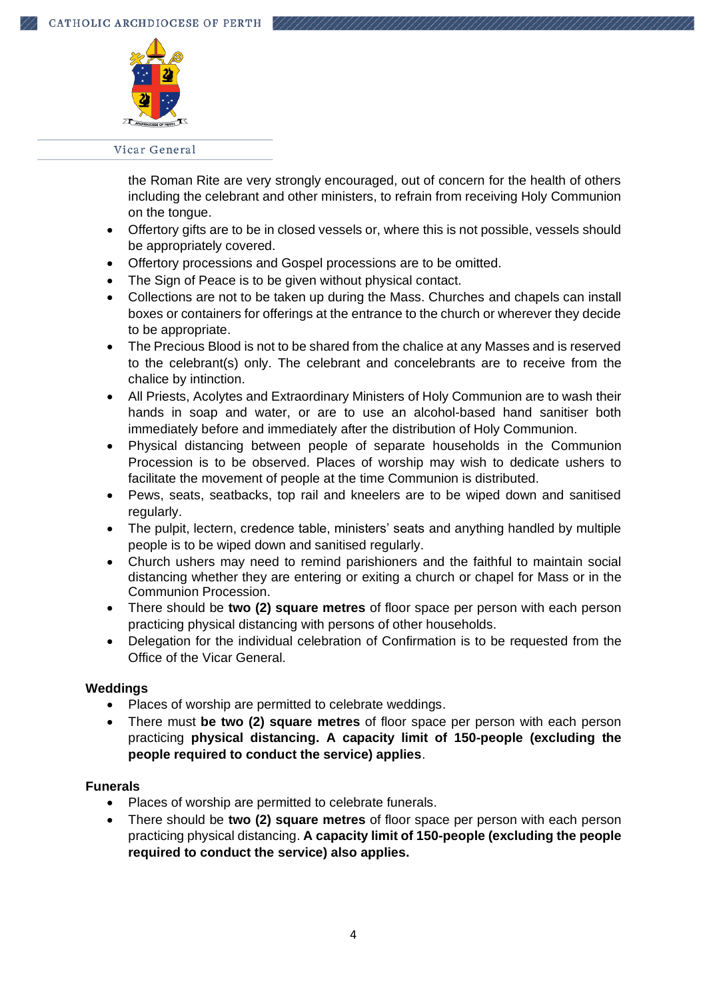

the Roman Rite are very strongly encouraged, out of concern for the health of others including the celebrant and other ministers, to refrain from receiving Holy Communion on the tongue.

- Offertory gifts are to be in closed vessels or, where this is not possible, vessels should be appropriately covered.
- Offertory processions and Gospel processions are to be omitted.
- The Sign of Peace is to be given without physical contact.
- Collections are not to be taken up during the Mass. Churches and chapels can install boxes or containers for offerings at the entrance to the church or wherever they decide to be appropriate.
- The Precious Blood is not to be shared from the chalice at any Masses and is reserved to the celebrant(s) only. The celebrant and concelebrants are to receive from the chalice by intinction.
- All Priests, Acolytes and Extraordinary Ministers of Holy Communion are to wash their hands in soap and water, or are to use an alcohol-based hand sanitiser both immediately before and immediately after the distribution of Holy Communion.
- Physical distancing between people of separate households in the Communion Procession is to be observed. Places of worship may wish to dedicate ushers to facilitate the movement of people at the time Communion is distributed.
- Pews, seats, seatbacks, top rail and kneelers are to be wiped down and sanitised regularly.
- The pulpit, lectern, credence table, ministers' seats and anything handled by multiple people is to be wiped down and sanitised regularly.
- Church ushers may need to remind parishioners and the faithful to maintain social distancing whether they are entering or exiting a church or chapel for Mass or in the Communion Procession.
- There should be **two (2) square metres** of floor space per person with each person practicing physical distancing with persons of other households.
- Delegation for the individual celebration of Confirmation is to be requested from the Office of the Vicar General.

### **Weddings**

- Places of worship are permitted to celebrate weddings.
- There must **be two (2) square metres** of floor space per person with each person practicing **physical distancing. A capacity limit of 150-people (excluding the people required to conduct the service) applies**.

### **Funerals**

- Places of worship are permitted to celebrate funerals.
- There should be **two (2) square metres** of floor space per person with each person practicing physical distancing. **A capacity limit of 150-people (excluding the people required to conduct the service) also applies.**